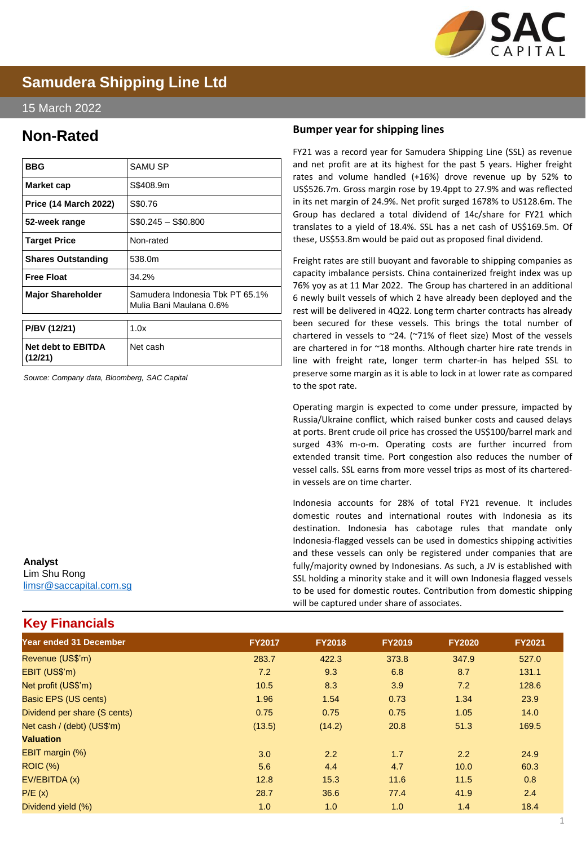

# **Samudera Shipping Line Ltd**

#### 15 March 2022

## **Non-Rated**

| <b>BBG</b>                           | SAMU SP                                                    |
|--------------------------------------|------------------------------------------------------------|
| Market cap                           | S\$408.9m                                                  |
| <b>Price (14 March 2022)</b>         | S\$0.76                                                    |
| 52-week range                        | $$0.245 - $0.800$                                          |
| <b>Target Price</b>                  | Non-rated                                                  |
| <b>Shares Outstanding</b>            | 538.0m                                                     |
| <b>Free Float</b>                    | 34.2%                                                      |
| <b>Major Shareholder</b>             | Samudera Indonesia Tbk PT 65.1%<br>Mulia Bani Maulana 0.6% |
| P/BV (12/21)                         | 1.0x                                                       |
| <b>Net debt to EBITDA</b><br>(12/21) | Net cash                                                   |

*Source: Company data, Bloomberg, SAC Capital*

### **Bumper year for shipping lines**

FY21 was a record year for Samudera Shipping Line (SSL) as revenue and net profit are at its highest for the past 5 years. Higher freight rates and volume handled (+16%) drove revenue up by 52% to US\$526.7m. Gross margin rose by 19.4ppt to 27.9% and was reflected in its net margin of 24.9%. Net profit surged 1678% to US128.6m. The Group has declared a total dividend of 14c/share for FY21 which translates to a yield of 18.4%. SSL has a net cash of US\$169.5m. Of these, US\$53.8m would be paid out as proposed final dividend.

Freight rates are still buoyant and favorable to shipping companies as capacity imbalance persists. China containerized freight index was up 76% yoy as at 11 Mar 2022. The Group has chartered in an additional 6 newly built vessels of which 2 have already been deployed and the rest will be delivered in 4Q22. Long term charter contracts has already been secured for these vessels. This brings the total number of chartered in vessels to ~24. (~71% of fleet size) Most of the vessels are chartered in for ~18 months. Although charter hire rate trends in line with freight rate, longer term charter-in has helped SSL to preserve some margin as it is able to lock in at lower rate as compared to the spot rate.

Operating margin is expected to come under pressure, impacted by Russia/Ukraine conflict, which raised bunker costs and caused delays at ports. Brent crude oil price has crossed the US\$100/barrel mark and surged 43% m-o-m. Operating costs are further incurred from extended transit time. Port congestion also reduces the number of vessel calls. SSL earns from more vessel trips as most of its charteredin vessels are on time charter.

Indonesia accounts for 28% of total FY21 revenue. It includes domestic routes and international routes with Indonesia as its destination. Indonesia has cabotage rules that mandate only Indonesia-flagged vessels can be used in domestics shipping activities and these vessels can only be registered under companies that are fully/majority owned by Indonesians. As such, a JV is established with SSL holding a minority stake and it will own Indonesia flagged vessels to be used for domestic routes. Contribution from domestic shipping will be captured under share of associates.

| <b>Year ended 31 December</b> | <b>FY2017</b> | <b>FY2018</b> | <b>FY2019</b> | <b>FY2020</b> | <b>FY2021</b> |
|-------------------------------|---------------|---------------|---------------|---------------|---------------|
| Revenue (US\$'m)              | 283.7         | 422.3         | 373.8         | 347.9         | 527.0         |
| EBIT (US\$'m)                 | 7.2           | 9.3           | 6.8           | 8.7           | 131.1         |
| Net profit (US\$'m)           | 10.5          | 8.3           | 3.9           | 7.2           | 128.6         |
| Basic EPS (US cents)          | 1.96          | 1.54          | 0.73          | 1.34          | 23.9          |
| Dividend per share (S cents)  | 0.75          | 0.75          | 0.75          | 1.05          | 14.0          |
| Net cash / (debt) (US\$'m)    | (13.5)        | (14.2)        | 20.8          | 51.3          | 169.5         |
| <b>Valuation</b>              |               |               |               |               |               |
| EBIT margin (%)               | 3.0           | 2.2           | 1.7           | 2.2           | 24.9          |
| <b>ROIC (%)</b>               | 5.6           | 4.4           | 4.7           | 10.0          | 60.3          |
| EV/EBITDA (x)                 | 12.8          | 15.3          | 11.6          | 11.5          | 0.8           |
| P/E(x)                        | 28.7          | 36.6          | 77.4          | 41.9          | 2.4           |
| Dividend yield (%)            | 1.0           | 1.0           | 1.0           | 1.4           | 18.4          |
|                               |               |               |               |               |               |

# **Key Financials**

[limsr@saccapital.com.sg](mailto:tlim@saccapital.com.sg)

**Analyst** Lim Shu Rong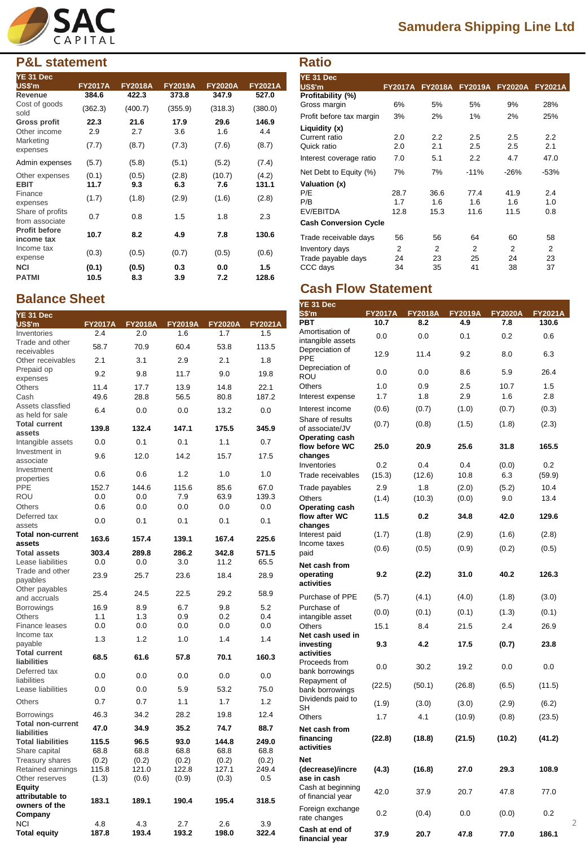

## **P&L statement**

| YE 31 Dec<br><b>US\$'m</b>         | <b>FY2017A</b> | <b>FY2018A</b> | <b>FY2019A</b> | <b>FY2020A</b> | <b>FY2021A</b> |
|------------------------------------|----------------|----------------|----------------|----------------|----------------|
| Revenue                            | 384.6          | 422.3          | 373.8          | 347.9          | 527.0          |
| Cost of goods<br>sold              | (362.3)        | (400.7)        | (355.9)        | (318.3)        | (380.0)        |
| Gross profit                       | 22.3           | 21.6           | 17.9           | 29.6           | 146.9          |
| Other income                       | 2.9            | 2.7            | 3.6            | 1.6            | 4.4            |
| Marketing<br>expenses              | (7.7)          | (8.7)          | (7.3)          | (7.6)          | (8.7)          |
| Admin expenses                     | (5.7)          | (5.8)          | (5.1)          | (5.2)          | (7.4)          |
| Other expenses<br><b>EBIT</b>      | (0.1)<br>11.7  | (0.5)<br>9.3   | (2.8)<br>6.3   | (10.7)<br>7.6  | (4.2)<br>131.1 |
| Finance<br>expenses                | (1.7)          | (1.8)          | (2.9)          | (1.6)          | (2.8)          |
| Share of profits<br>from associate | 0.7            | 0.8            | 1.5            | 1.8            | 2.3            |
| <b>Profit before</b><br>income tax | 10.7           | 8.2            | 4.9            | 7.8            | 130.6          |
| Income tax<br>expense              | (0.3)          | (0.5)          | (0.7)          | (0.5)          | (0.6)          |
| <b>NCI</b>                         | (0.1)          | (0.5)          | 0.3            | 0.0            | 1.5            |
| <b>PATMI</b>                       | 10.5           | 8.3            | 3.9            | 7.2            | 128.6          |

#### **Balance Sheet YE 31 Dec**

| $1 - 31$ Dec<br>US\$'m                  | <b>FY2017A</b> | <b>FY2018A</b> | <b>FY2019A</b> | <b>FY2020A</b> | <b>FY2021A</b> |
|-----------------------------------------|----------------|----------------|----------------|----------------|----------------|
| Inventories                             | 2.4            | 2.0            | 1.6            | 1.7            | 1.5            |
| Trade and other<br>receivables          | 58.7           | 70.9           | 60.4           | 53.8           | 113.5          |
| Other receivables                       | 2.1            | 3.1            | 2.9            | 2.1            | 1.8            |
| Prepaid op                              |                |                |                |                |                |
| expenses                                | 9.2            | 9.8            | 11.7           | 9.0            | 19.8           |
| Others                                  | 11.4           | 17.7           | 13.9           | 14.8           | 22.1           |
| Cash                                    | 49.6           | 28.8           | 56.5           | 80.8           | 187.2          |
| Assets classfied<br>as held for sale    | 6.4            | 0.0            | 0.0            | 13.2           | 0.0            |
| <b>Total current</b>                    | 139.8          | 132.4          | 147.1          | 175.5          | 345.9          |
| assets<br>Intangible assets             | 0.0            | 0.1            | 0.1            | 1.1            | 0.7            |
| Investment in                           |                |                |                |                |                |
| associate<br>Investment                 | 9.6            | 12.0           | 14.2           | 15.7           | 17.5           |
| properties                              | 0.6            | 0.6            | 1.2            | 1.0            | 1.0            |
| PPE                                     | 152.7          | 144.6          | 115.6          | 85.6           | 67.0           |
| ROU                                     | 0.0            | 0.0            | 7.9            | 63.9           | 139.3          |
| Others                                  | 0.6            | 0.0            | 0.0            | 0.0            | 0.0            |
| Deferred tax<br>assets                  | 0.0            | 0.1            | 0.1            | 0.1            | 0.1            |
| Total non-current                       | 163.6          | 157.4          | 139.1          | 167.4          | 225.6          |
| assets<br><b>Total assets</b>           | 303.4          | 289.8          | 286.2          | 342.8          | 571.5          |
| Lease liabilities                       | 0.0            | 0.0            | 3.0            | 11.2           | 65.5           |
| Trade and other                         |                |                |                |                |                |
| payables                                | 23.9           | 25.7           | 23.6           | 18.4           | 28.9           |
| Other payables                          | 25.4           | 24.5           | 22.5           | 29.2           | 58.9           |
| and accruals                            |                |                |                |                |                |
| <b>Borrowings</b>                       | 16.9           | 8.9            | 6.7            | 9.8            | 5.2            |
| Others                                  | 1.1            | 1.3            | 0.9            | 0.2            | 0.4            |
| Finance leases<br>Income tax            | 0.0            | 0.0            | 0.0            | 0.0            | 0.0            |
| payable                                 | 1.3            | 1.2            | 1.0            | 1.4            | 1.4            |
| <b>Total current</b><br>liabilities     | 68.5           | 61.6           | 57.8           | 70.1           | 160.3          |
| Deferred tax                            | 0.0            | 0.0            | 0.0            | 0.0            | 0.0            |
| liabilities<br>Lease liabilities        | 0.0            | 0.0            | 5.9            | 53.2           | 75.0           |
| Others                                  | 0.7            | 0.7            | 1.1            | 1.7            | 1.2            |
| Borrowings                              | 46.3           | 34.2           | 28.2           | 19.8           | 12.4           |
| <b>Total non-current</b><br>liabilities | 47.0           | 34.9           | 35.2           | 74.7           | 88.7           |
| <b>Total liabilities</b>                | 115.5          | 96.5           | 93.0           | 144.8          | 249.0          |
| Share capital                           | 68.8           | 68.8           | 68.8           | 68.8           | 68.8           |
| <b>Treasury shares</b>                  | (0.2)          | (0.2)          | (0.2)          | (0.2)          | (0.2)          |
| Retained earnings                       | 115.8          | 121.0          | 122.8          | 127.1          | 249.4          |
| Other reserves                          | (1.3)          | (0.6)          | (0.9)          | (0.3)          | 0.5            |
| Equity                                  |                |                |                |                |                |
| attributable to<br>owners of the        | 183.1          | 189.1          | 190.4          | 195.4          | 318.5          |
| Company                                 |                |                |                |                |                |
| NCI                                     | 4.8            | 4.3            | 2.7            | 2.6            | 3.9            |
| <b>Total equity</b>                     | 187.8          | 193.4          | 193.2          | 198.0          | 322.4          |
|                                         |                |                |                |                |                |

# **Samudera Shipping Line Ltd**

| <b>Ratio</b>                 |                |                |                |                |                |
|------------------------------|----------------|----------------|----------------|----------------|----------------|
| YE 31 Dec<br>US\$'m          | <b>FY2017A</b> | <b>FY2018A</b> | <b>FY2019A</b> | <b>FY2020A</b> | <b>FY2021A</b> |
| Profitability (%)            |                |                |                |                |                |
| Gross margin                 | 6%             | 5%             | 5%             | 9%             | 28%            |
| Profit before tax margin     | 3%             | 2%             | 1%             | 2%             | 25%            |
| Liquidity (x)                |                |                |                |                |                |
| Current ratio                | 2.0            | 2.2            | 2.5            | 2.5            | 2.2            |
| Quick ratio                  | 2.0            | 2.1            | $2.5\,$        | 2.5            | 2.1            |
| Interest coverage ratio      | 7.0            | 5.1            | 2.2            | 4.7            | 47.0           |
| Net Debt to Equity (%)       | 7%             | 7%             | $-11%$         | $-26%$         | $-53%$         |
| Valuation (x)                |                |                |                |                |                |
| P/E                          | 28.7           | 36.6           | 77.4           | 41.9           | 2.4            |
| P/B                          | 1.7            | 1.6            | 1.6            | 1.6            | 1.0            |
| EV/EBITDA                    | 12.8           | 15.3           | 11.6           | 11.5           | 0.8            |
| <b>Cash Conversion Cycle</b> |                |                |                |                |                |
| Trade receivable days        | 56             | 56             | 64             | 60             | 58             |
| Inventory days               | 2              | 2              | 2              | 2              | 2              |
| Trade payable days           | 24             | 23             | 25             | 24             | 23             |
| CCC days                     | 34             | 35             | 41             | 38             | 37             |

## **Cash Flow Statement**

| YE 31 Dec<br>S\$'m                          | <b>FY2017A</b> | <b>FY2018A</b> | <b>FY2019A</b> | <b>FY2020A</b> | <b>FY2021A</b> |
|---------------------------------------------|----------------|----------------|----------------|----------------|----------------|
| <b>PBT</b>                                  | 10.7           | 8.2            | 4.9            | 7.8            | 130.6          |
| Amortisation of                             | 0.0            | 0.0            | 0.1            | 0.2            | 0.6            |
| intangible assets<br>Depreciation of        | 12.9           | 11.4           | 9.2            | 8.0            | 6.3            |
| PPE<br>Depreciation of                      | 0.0            | 0.0            | 8.6            | 5.9            | 26.4           |
| ROU<br>Others                               | 1.0            | 0.9            | 2.5            | 10.7           | 1.5            |
| Interest expense                            | 1.7            | 1.8            | 2.9            | 1.6            | 2.8            |
| Interest income                             | (0.6)          | (0.7)          | (1.0)          | (0.7)          | (0.3)          |
| Share of results<br>of associate/JV         | (0.7)          | (0.8)          | (1.5)          | (1.8)          | (2.3)          |
| Operating cash<br>flow before WC<br>changes | 25.0           | 20.9           | 25.6           | 31.8           | 165.5          |
| Inventories                                 | 0.2            | 0.4            | 0.4            | (0.0)          | 0.2            |
| Trade receivables                           | (15.3)         | (12.6)         | 10.8           | 6.3            | (59.9)         |
| Trade payables                              | 2.9            | 1.8            | (2.0)          | (5.2)          | 10.4           |
| Others                                      | (1.4)          | (10.3)         | (0.0)          | 9.0            | 13.4           |
| Operating cash<br>flow after WC<br>changes  | 11.5           | 0.2            | 34.8           | 42.0           | 129.6          |
| Interest paid                               | (1.7)          | (1.8)          | (2.9)          | (1.6)          | (2.8)          |
| Income taxes<br>paid                        | (0.6)          | (0.5)          | (0.9)          | (0.2)          | (0.5)          |
| Net cash from<br>operating<br>activities    | 9.2            | (2.2)          | 31.0           | 40.2           | 126.3          |
| Purchase of PPE                             | (5.7)          | (4.1)          | (4.0)          | (1.8)          | (3.0)          |
| Purchase of<br>intangible asset             | (0.0)          | (0.1)          | (0.1)          | (1.3)          | (0.1)          |
| Others                                      | 15.1           | 8.4            | 21.5           | 2.4            | 26.9           |
| Net cash used in<br>investing<br>activities | 9.3            | 4.2            | 17.5           | (0.7)          | 23.8           |
| Proceeds from<br>bank borrowings            | 0.0            | 30.2           | 19.2           | 0.0            | 0.0            |
| Repayment of<br>bank borrowings             | (22.5)         | (50.1)         | (26.8)         | (6.5)          | (11.5)         |
| Dividends paid to<br>SH                     | (1.9)          | (3.0)          | (3.0)          | (2.9)          | (6.2)          |
| Others                                      | 1.7            | 4.1            | (10.9)         | (0.8)          | (23.5)         |
| Net cash from<br>financing<br>activities    | (22.8)         | (18.8)         | (21.5)         | (10.2)         | (41.2)         |
| Net<br>(decrease)/incre<br>ase in cash      | (4.3)          | (16.8)         | 27.0           | 29.3           | 108.9          |
| Cash at beginning<br>of financial year      | 42.0           | 37.9           | 20.7           | 47.8           | 77.0           |
| Foreign exchange<br>rate changes            | 0.2            | (0.4)          | 0.0            | (0.0)          | 0.2            |
| Cash at end of<br>financial year            | 37.9           | 20.7           | 47.8           | 77.0           | 186.1          |

2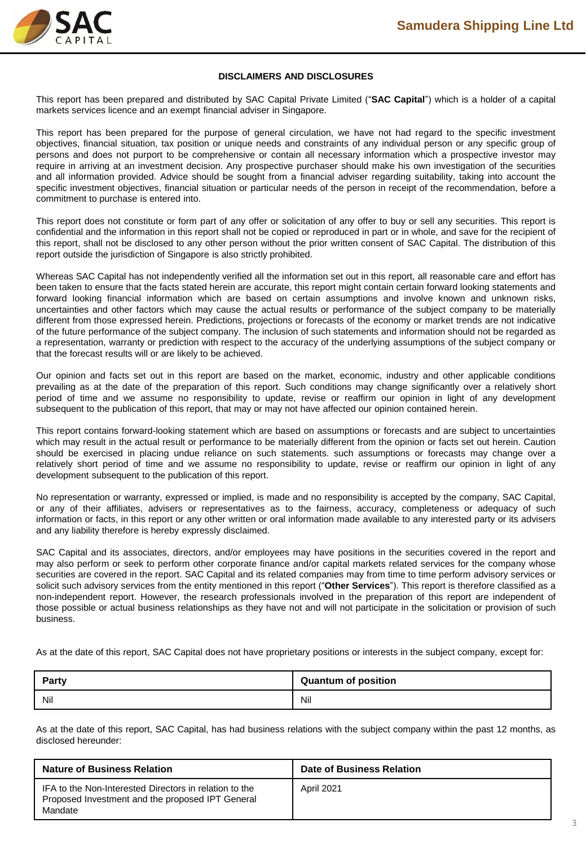

#### **DISCLAIMERS AND DISCLOSURES**

This report has been prepared and distributed by SAC Capital Private Limited ("**SAC Capital**") which is a holder of a capital markets services licence and an exempt financial adviser in Singapore.

This report has been prepared for the purpose of general circulation, we have not had regard to the specific investment objectives, financial situation, tax position or unique needs and constraints of any individual person or any specific group of persons and does not purport to be comprehensive or contain all necessary information which a prospective investor may require in arriving at an investment decision. Any prospective purchaser should make his own investigation of the securities and all information provided. Advice should be sought from a financial adviser regarding suitability, taking into account the specific investment objectives, financial situation or particular needs of the person in receipt of the recommendation, before a commitment to purchase is entered into.

This report does not constitute or form part of any offer or solicitation of any offer to buy or sell any securities. This report is confidential and the information in this report shall not be copied or reproduced in part or in whole, and save for the recipient of this report, shall not be disclosed to any other person without the prior written consent of SAC Capital. The distribution of this report outside the jurisdiction of Singapore is also strictly prohibited.

Whereas SAC Capital has not independently verified all the information set out in this report, all reasonable care and effort has been taken to ensure that the facts stated herein are accurate, this report might contain certain forward looking statements and forward looking financial information which are based on certain assumptions and involve known and unknown risks, uncertainties and other factors which may cause the actual results or performance of the subject company to be materially different from those expressed herein. Predictions, projections or forecasts of the economy or market trends are not indicative of the future performance of the subject company. The inclusion of such statements and information should not be regarded as a representation, warranty or prediction with respect to the accuracy of the underlying assumptions of the subject company or that the forecast results will or are likely to be achieved.

Our opinion and facts set out in this report are based on the market, economic, industry and other applicable conditions prevailing as at the date of the preparation of this report. Such conditions may change significantly over a relatively short period of time and we assume no responsibility to update, revise or reaffirm our opinion in light of any development subsequent to the publication of this report, that may or may not have affected our opinion contained herein.

This report contains forward-looking statement which are based on assumptions or forecasts and are subject to uncertainties which may result in the actual result or performance to be materially different from the opinion or facts set out herein. Caution should be exercised in placing undue reliance on such statements. such assumptions or forecasts may change over a relatively short period of time and we assume no responsibility to update, revise or reaffirm our opinion in light of any development subsequent to the publication of this report.

No representation or warranty, expressed or implied, is made and no responsibility is accepted by the company, SAC Capital, or any of their affiliates, advisers or representatives as to the fairness, accuracy, completeness or adequacy of such information or facts, in this report or any other written or oral information made available to any interested party or its advisers and any liability therefore is hereby expressly disclaimed.

SAC Capital and its associates, directors, and/or employees may have positions in the securities covered in the report and may also perform or seek to perform other corporate finance and/or capital markets related services for the company whose securities are covered in the report. SAC Capital and its related companies may from time to time perform advisory services or solicit such advisory services from the entity mentioned in this report ("**Other Services**"). This report is therefore classified as a non-independent report. However, the research professionals involved in the preparation of this report are independent of those possible or actual business relationships as they have not and will not participate in the solicitation or provision of such business.

As at the date of this report, SAC Capital does not have proprietary positions or interests in the subject company, except for:

| <b>Party</b> | <b>Quantum of position</b> |
|--------------|----------------------------|
| Nil          | Nil                        |

As at the date of this report, SAC Capital, has had business relations with the subject company within the past 12 months, as disclosed hereunder:

| <b>Nature of Business Relation</b>                                                                                    | Date of Business Relation |
|-----------------------------------------------------------------------------------------------------------------------|---------------------------|
| IFA to the Non-Interested Directors in relation to the<br>Proposed Investment and the proposed IPT General<br>Mandate | April 2021                |